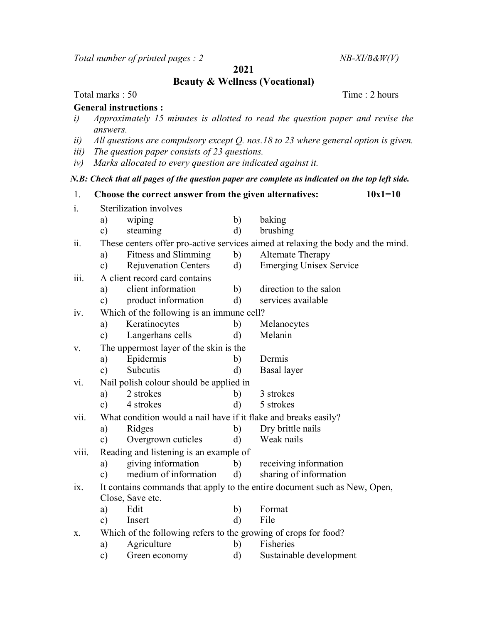Total number of printed pages :  $2$  NB-XI/B&W(V)

2021

Beauty & Wellness (Vocational)

## Total marks : 50 Time : 2 hours

## General instructions :

- i) Approximately 15 minutes is allotted to read the question paper and revise the answers.
- ii) All questions are compulsory except  $Q$ . nos.18 to 23 where general option is given.
- iii) The question paper consists of 23 questions.
- iv) Marks allocated to every question are indicated against it.

## N.B: Check that all pages of the question paper are complete as indicated on the top left side.

1. Choose the correct answer from the given alternatives:  $10x1=10$ i. Sterilization involves a) wiping b) baking c) steaming d) brushing ii. These centers offer pro-active services aimed at relaxing the body and the mind. a) Fitness and Slimming b) Alternate Therapy c) Rejuvenation Centers d) Emerging Unisex Service iii. A client record card contains a) client information b) direction to the salon c) product information d) services available iv. Which of the following is an immune cell? a) Keratinocytes b) Melanocytes c) Langerhans cells d) Melanin v. The uppermost layer of the skin is the a) Epidermis b) Dermis c) Subcutis d) Basal layer vi. Nail polish colour should be applied in a) 2 strokes b) 3 strokes c) 4 strokes d) 5 strokes vii. What condition would a nail have if it flake and breaks easily? a) Ridges b) Dry brittle nails c) Overgrown cuticles d) Weak nails viii. Reading and listening is an example of a) giving information b) receiving information c) medium of information d) sharing of information ix. It contains commands that apply to the entire document such as New, Open, Close, Save etc. a) Edit b) Format c) Insert d) File x. Which of the following refers to the growing of crops for food? a) Agriculture b) Fisheries c) Green economy d) Sustainable development